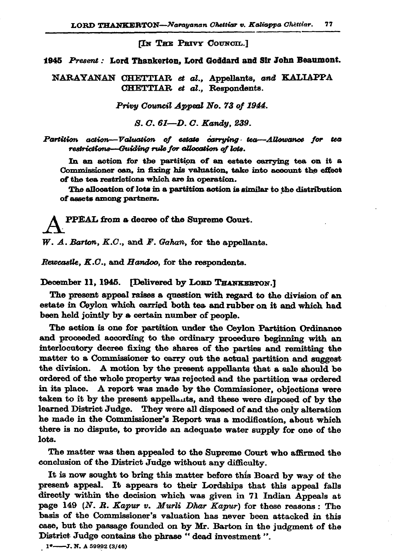**TN THE PRIVY COUNCIL.1** 

1945 Present: Lord Thankerton, Lord Goddard and Sir John Beaumont.

NARAYANAN CHETTIAR et al., Appellants, and KALIAPPA CHETTIAR et al., Respondents.

Privy Council Appeal No. 73 of 1944.

S. C. 61-D. C. Kandy, 239.

Partition action-Valuation of estate carrying tea-Allowance for tea restrictions-Guiding rule for allocation of lote.

In an action for the partition of an estate carrying tea on it a Commissioner can, in fixing his valuation, take into account the effect of the tea restrictions which are in operation.

The allocation of lots in a partition action is similar to the distribution of assets among partners.

PPEAL from a decree of the Supreme Court.

 $W. A.$  Barton,  $K.C.,$  and  $F.$  Gahan, for the appellants.

Rewcastle, K.C., and Handoo, for the respondents.

December 11, 1945. [Delivered by LORD THANKERTON.]

The present appeal raises a question with regard to the division of an estate in Ceylon which carried both tea and rubber on it and which had been held jointly by a certain number of people.

The action is one for partition under the Ceylon Partition Ordinance and proceeded according to the ordinary procedure beginning with an interlocutory decree fixing the shares of the parties and remitting the matter to a Commissioner to carry out the actual partition and suggest the division. A motion by the present appellants that a sale should be ordered of the whole property was rejected and the partition was ordered in its place. A report was made by the Commissioner, objections were taken to it by the present appellants, and these were disposed of by the learned District Judge. They were all disposed of and the only alteration he made in the Commissioner's Report was a modification, about which there is no dispute, to provide an adequate water supply for one of the lots.

The matter was then appealed to the Supreme Court who affirmed the conclusion of the District Judge without any difficulty.

It is now sought to bring this matter before this Board by way of the present appeal. It appears to their Lordships that this appeal falls directly within the decision which was given in 71 Indian Appeals at page 149 (N. R. Kapur v. Murli Dhar Kapur) for these reasons: The basis of the Commissioner's valuation has never been attacked in this case, but the passage founded on by Mr. Barton in the judgment of the District Judge contains the phrase "dead investment".

1<sup>\*</sup>-----J. N. A 59992 (3/46)